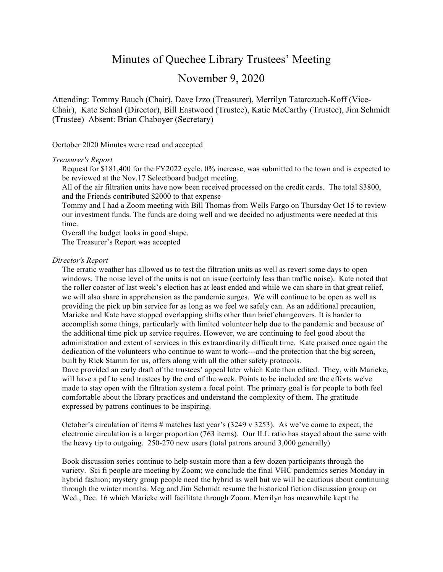# Minutes of Quechee Library Trustees' Meeting

# November 9, 2020

Attending: Tommy Bauch (Chair), Dave Izzo (Treasurer), Merrilyn Tatarczuch-Koff (Vice-Chair), Kate Schaal (Director), Bill Eastwood (Trustee), Katie McCarthy (Trustee), Jim Schmidt (Trustee) Absent: Brian Chaboyer (Secretary)

Ocrtober 2020 Minutes were read and accepted

#### *Treasurer's Report*

Request for \$181,400 for the FY2022 cycle. 0% increase, was submitted to the town and is expected to be reviewed at the Nov.17 Selectboard budget meeting.

All of the air filtration units have now been received processed on the credit cards. The total \$3800, and the Friends contributed \$2000 to that expense

Tommy and I had a Zoom meeting with Bill Thomas from Wells Fargo on Thursday Oct 15 to review our investment funds. The funds are doing well and we decided no adjustments were needed at this time.

Overall the budget looks in good shape.

The Treasurer's Report was accepted

#### *Director's Report*

 The erratic weather has allowed us to test the filtration units as well as revert some days to open windows. The noise level of the units is not an issue (certainly less than traffic noise). Kate noted that the roller coaster of last week's election has at least ended and while we can share in that great relief, we will also share in apprehension as the pandemic surges. We will continue to be open as well as providing the pick up bin service for as long as we feel we safely can. As an additional precaution, Marieke and Kate have stopped overlapping shifts other than brief changeovers. It is harder to accomplish some things, particularly with limited volunteer help due to the pandemic and because of the additional time pick up service requires. However, we are continuing to feel good about the administration and extent of services in this extraordinarily difficult time. Kate praised once again the dedication of the volunteers who continue to want to work---and the protection that the big screen, built by Rick Stamm for us, offers along with all the other safety protocols. Dave provided an early draft of the trustees' appeal later which Kate then edited. They, with Marieke,

will have a pdf to send trustees by the end of the week. Points to be included are the efforts we've made to stay open with the filtration system a focal point. The primary goal is for people to both feel comfortable about the library practices and understand the complexity of them. The gratitude expressed by patrons continues to be inspiring.

October's circulation of items # matches last year's (3249 v 3253). As we've come to expect, the electronic circulation is a larger proportion (763 items). Our ILL ratio has stayed about the same with the heavy tip to outgoing. 250-270 new users (total patrons around 3,000 generally)

 Book discussion series continue to help sustain more than a few dozen participants through the variety. Sci fi people are meeting by Zoom; we conclude the final VHC pandemics series Monday in hybrid fashion; mystery group people need the hybrid as well but we will be cautious about continuing through the winter months. Meg and Jim Schmidt resume the historical fiction discussion group on Wed., Dec. 16 which Marieke will facilitate through Zoom. Merrilyn has meanwhile kept the